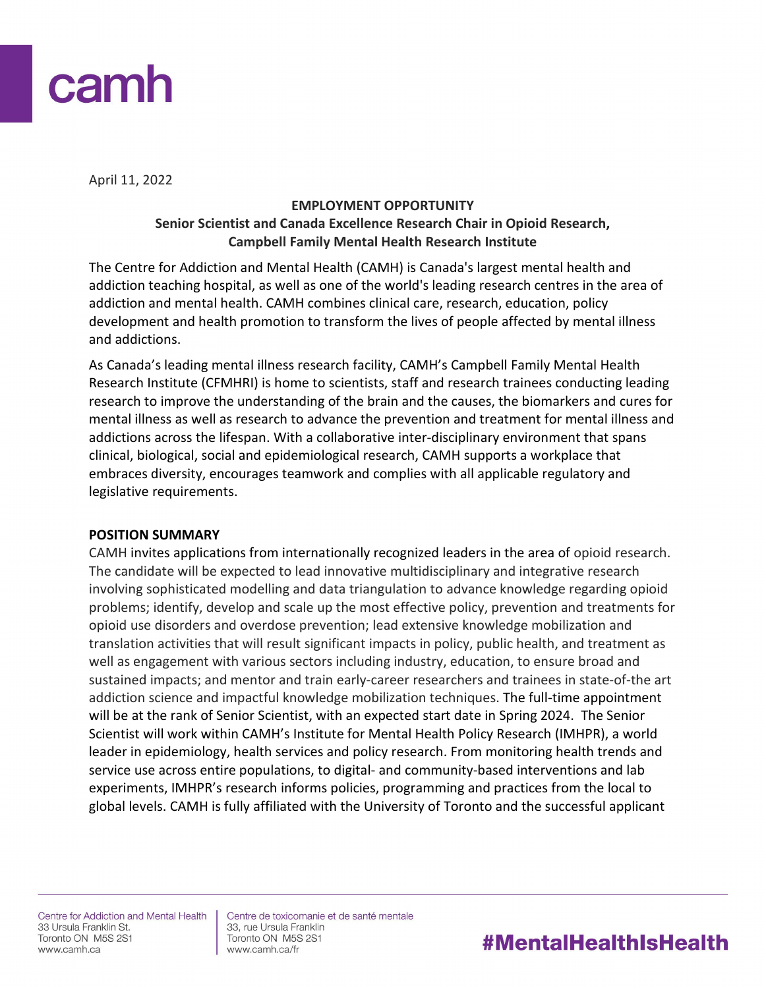

April 11, 2022

## **EMPLOYMENT OPPORTUNITY Senior Scientist and Canada Excellence Research Chair in Opioid Research, Campbell Family Mental Health Research Institute**

The Centre for Addiction and Mental Health (CAMH) is Canada's largest mental health and addiction teaching hospital, as well as one of the world's leading research centres in the area of addiction and mental health. CAMH combines clinical care, research, education, policy development and health promotion to transform the lives of people affected by mental illness and addictions.

As Canada's leading mental illness research facility, CAMH's Campbell Family Mental Health Research Institute (CFMHRI) is home to scientists, staff and research trainees conducting leading research to improve the understanding of the brain and the causes, the biomarkers and cures for mental illness as well as research to advance the prevention and treatment for mental illness and addictions across the lifespan. With a collaborative inter-disciplinary environment that spans clinical, biological, social and epidemiological research, CAMH supports a workplace that embraces diversity, encourages teamwork and complies with all applicable regulatory and legislative requirements.

#### **POSITION SUMMARY**

CAMH invites applications from internationally recognized leaders in the area of opioid research. The candidate will be expected to lead innovative multidisciplinary and integrative research involving sophisticated modelling and data triangulation to advance knowledge regarding opioid problems; identify, develop and scale up the most effective policy, prevention and treatments for opioid use disorders and overdose prevention; lead extensive knowledge mobilization and translation activities that will result significant impacts in policy, public health, and treatment as well as engagement with various sectors including industry, education, to ensure broad and sustained impacts; and mentor and train early-career researchers and trainees in state-of-the art addiction science and impactful knowledge mobilization techniques. The full-time appointment will be at the rank of Senior Scientist, with an expected start date in Spring 2024. The Senior Scientist will work within CAMH's Institute for Mental Health Policy Research (IMHPR), a world leader in epidemiology, health services and policy research. From monitoring health trends and service use across entire populations, to digital- and community-based interventions and lab experiments, IMHPR's research informs policies, programming and practices from the local to global levels. CAMH is fully affiliated with the University of Toronto and the successful applicant

Centre for Addiction and Mental Health 33 Ursula Franklin St. Toronto ON M5S 2S1 www.camh.ca

Centre de toxicomanie et de santé mentale 33, rue Ursula Franklin Toronto ON M5S 2S1 www.camh.ca/fr

# **#MentalHealthIsHealth**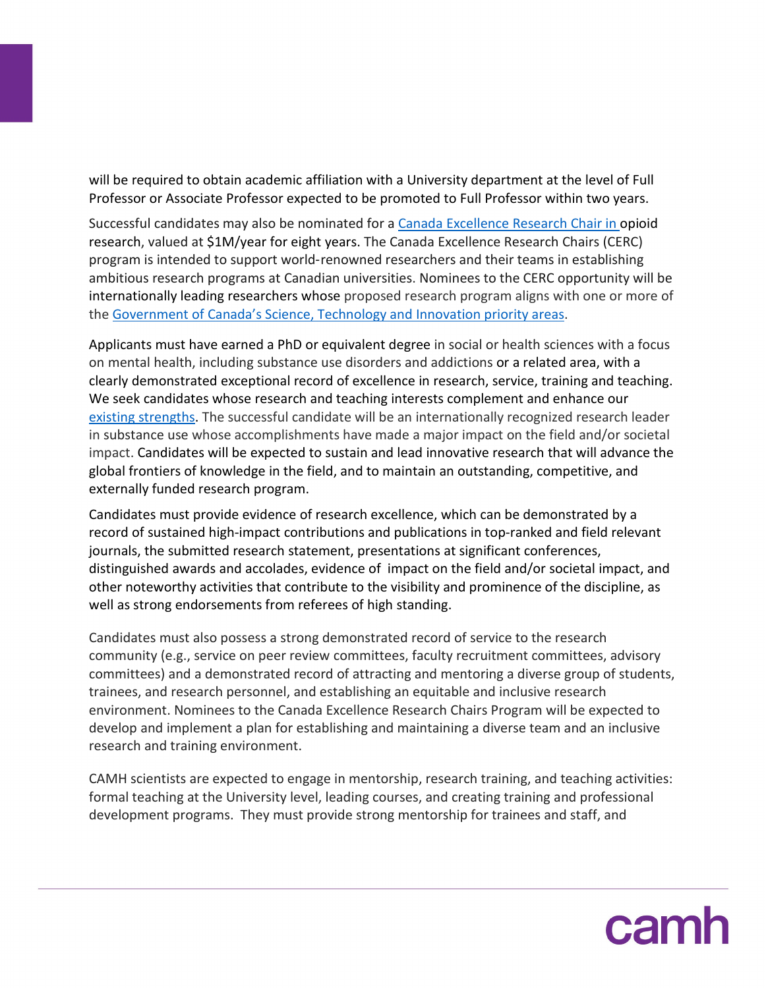will be required to obtain academic affiliation with a University department at the level of Full Professor or Associate Professor expected to be promoted to Full Professor within two years.

Successful candidates may also be nominated for a [Canada Excellence Research Chair](https://www.cerc.gc.ca/program-programme/cpan-pccs-eng.aspx) in opioid research, valued at \$1M/year for eight years. The Canada Excellence Research Chairs (CERC) program is intended to support world‑renowned researchers and their teams in establishing ambitious research programs at Canadian universities. Nominees to the CERC opportunity will be internationally leading researchers whose proposed research program aligns with one or more of the [Government of Canada's Science, Technology and Innovation priority areas.](https://www.cerc.gc.ca/program-programme/cpan-pccs-eng.aspx#4)

Applicants must have earned a PhD or equivalent degree in social or health sciences with a focus on mental health, including substance use disorders and addictions or a related area, with a clearly demonstrated exceptional record of excellence in research, service, training and teaching. We seek candidates whose research and teaching interests complement and enhance our [existing strengths.](https://www.camh.ca/en/science-and-research) The successful candidate will be an internationally recognized research leader in substance use whose accomplishments have made a major impact on the field and/or societal impact. Candidates will be expected to sustain and lead innovative research that will advance the global frontiers of knowledge in the field, and to maintain an outstanding, competitive, and externally funded research program.

Candidates must provide evidence of research excellence, which can be demonstrated by a record of sustained high-impact contributions and publications in top-ranked and field relevant journals, the submitted research statement, presentations at significant conferences, distinguished awards and accolades, evidence of impact on the field and/or societal impact, and other noteworthy activities that contribute to the visibility and prominence of the discipline, as well as strong endorsements from referees of high standing.

Candidates must also possess a strong demonstrated record of service to the research community (e.g., service on peer review committees, faculty recruitment committees, advisory committees) and a demonstrated record of attracting and mentoring a diverse group of students, trainees, and research personnel, and establishing an equitable and inclusive research environment. Nominees to the Canada Excellence Research Chairs Program will be expected to develop and implement a plan for establishing and maintaining a diverse team and an inclusive research and training environment.

CAMH scientists are expected to engage in mentorship, research training, and teaching activities: formal teaching at the University level, leading courses, and creating training and professional development programs. They must provide strong mentorship for trainees and staff, and

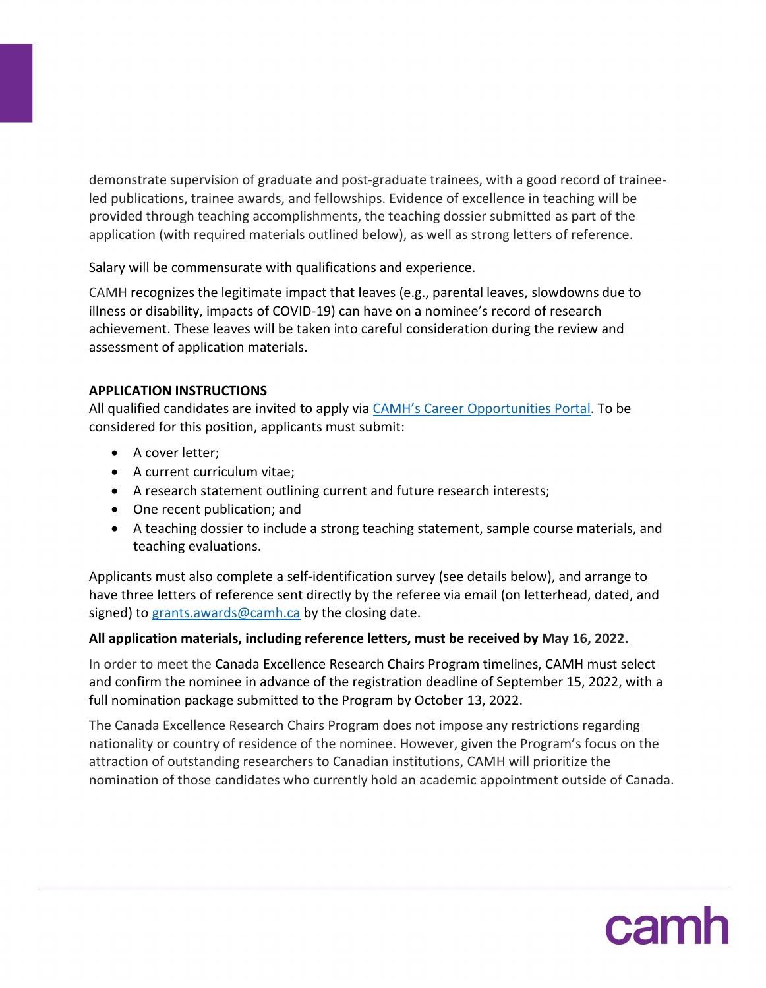demonstrate supervision of graduate and post-graduate trainees, with a good record of traineeled publications, trainee awards, and fellowships. Evidence of excellence in teaching will be provided through teaching accomplishments, the teaching dossier submitted as part of the application (with required materials outlined below), as well as strong letters of reference.

Salary will be commensurate with qualifications and experience.

CAMH recognizes the legitimate impact that leaves (e.g., parental leaves, slowdowns due to illness or disability, impacts of COVID-19) can have on a nominee's record of research achievement. These leaves will be taken into careful consideration during the review and assessment of application materials.

## **APPLICATION INSTRUCTIONS**

All qualified candidates are invited to apply via [CAMH's Career Opportunities Portal.](https://www.recruitingsite.com/csbsites/camh/JobDescription.asp?SuperCategoryCode=15233&JobNumber=896790&lang=en) To be considered for this position, applicants must submit:

- A cover letter;
- A current curriculum vitae;
- A research statement outlining current and future research interests;
- One recent publication; and
- A teaching dossier to include a strong teaching statement, sample course materials, and teaching evaluations.

Applicants must also complete a self-identification survey (see details below), and arrange to have three letters of reference sent directly by the referee via email (on letterhead, dated, and signed) to [grants.awards@camh.ca](mailto:grants.awards@camh.ca) by the closing date.

## **All application materials, including reference letters, must be received by May 16, 2022.**

In order to meet the Canada Excellence Research Chairs Program timelines, CAMH must select and confirm the nominee in advance of the registration deadline of September 15, 2022, with a full nomination package submitted to the Program by October 13, 2022.

The Canada Excellence Research Chairs Program does not impose any restrictions regarding nationality or country of residence of the nominee. However, given the Program's focus on the attraction of outstanding researchers to Canadian institutions, CAMH will prioritize the nomination of those candidates who currently hold an academic appointment outside of Canada.

camh